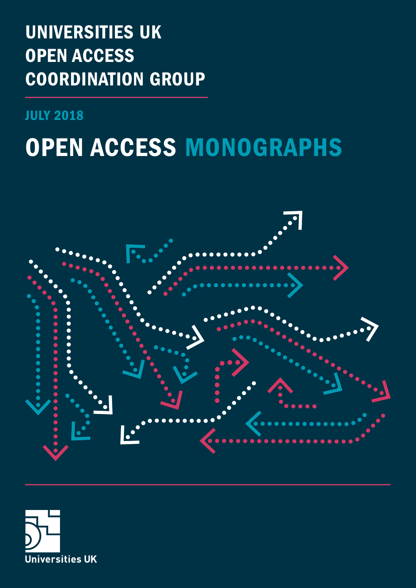# UNIVERSITIES UK OPEN ACCESS COORDINATION GROUP

JULY 2018

# OPEN ACCESS MONOGRAPHS



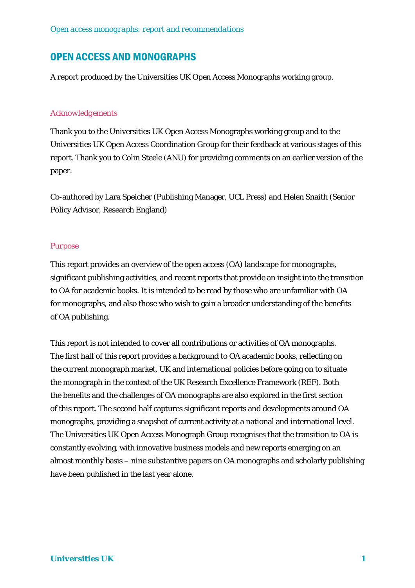## OPEN ACCESS AND MONOGRAPHS

A report produced by the Universities UK Open Access Monographs working group.

#### *Acknowledgements*

Thank you to the Universities UK Open Access Monographs working group and to the Universities UK Open Access Coordination Group for their feedback at various stages of this report. Thank you to Colin Steele (ANU) for providing comments on an earlier version of the paper.

Co-authored by Lara Speicher (Publishing Manager, UCL Press) and Helen Snaith (Senior Policy Advisor, Research England)

#### *Purpose*

This report provides an overview of the open access (OA) landscape for monographs, significant publishing activities, and recent reports that provide an insight into the transition to OA for academic books. It is intended to be read by those who are unfamiliar with OA for monographs, and also those who wish to gain a broader understanding of the benefits of OA publishing.

This report is not intended to cover all contributions or activities of OA monographs. The first half of this report provides a background to OA academic books, reflecting on the current monograph market, UK and international policies before going on to situate the monograph in the context of the UK Research Excellence Framework (REF). Both the benefits and the challenges of OA monographs are also explored in the first section of this report. The second half captures significant reports and developments around OA monographs, providing a snapshot of current activity at a national and international level. The Universities UK Open Access Monograph Group recognises that the transition to OA is constantly evolving, with innovative business models and new reports emerging on an almost monthly basis – nine substantive papers on OA monographs and scholarly publishing have been published in the last year alone.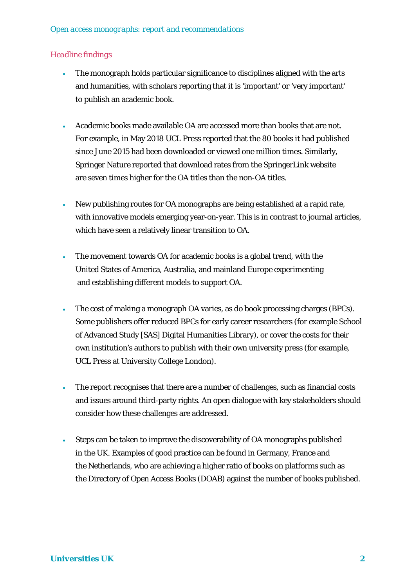#### *Headline findings*

- The monograph holds particular significance to disciplines aligned with the arts and humanities, with scholars reporting that it is 'important' or 'very important' to publish an academic book.
- Academic books made available OA are accessed more than books that are not. For example, in May 2018 UCL Press reported that the 80 books it had published since June 2015 had been downloaded or viewed one million times. Similarly, Springer Nature reported that download rates from the SpringerLink website are seven times higher for the OA titles than the non-OA titles.
- New publishing routes for OA monographs are being established at a rapid rate, with innovative models emerging year-on-year. This is in contrast to journal articles, which have seen a relatively linear transition to OA.
- The movement towards OA for academic books is a global trend, with the United States of America, Australia, and mainland Europe experimenting and establishing different models to support OA.
- The cost of making a monograph OA varies, as do book processing charges (BPCs). Some publishers offer reduced BPCs for early career researchers (for example School of Advanced Study [SAS] Digital Humanities Library), or cover the costs for their own institution's authors to publish with their own university press (for example, UCL Press at University College London).
- The report recognises that there are a number of challenges, such as financial costs and issues around third-party rights. An open dialogue with key stakeholders should consider how these challenges are addressed.
- Steps can be taken to improve the discoverability of OA monographs published in the UK. Examples of good practice can be found in Germany, France and the Netherlands, who are achieving a higher ratio of books on platforms such as the Directory of Open Access Books (DOAB) against the number of books published.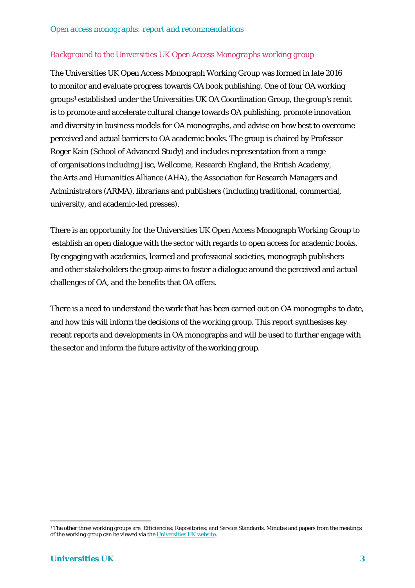#### *Background to the Universities UK Open Access Monographs working group*

The Universities UK Open Access Monograph Working Group was formed in late 2016 to monitor and evaluate progress towards OA book publishing. One of four OA working groups<sup>[1](#page-3-0)</sup> established under the Universities UK OA Coordination Group, the group's remit is to promote and accelerate cultural change towards OA publishing, promote innovation and diversity in business models for OA monographs, and advise on how best to overcome perceived and actual barriers to OA academic books. The group is chaired by Professor Roger Kain (School of Advanced Study) and includes representation from a range of organisations including Jisc, Wellcome, Research England, the British Academy, the Arts and Humanities Alliance (AHA), the Association for Research Managers and Administrators (ARMA), librarians and publishers (including traditional, commercial, university, and academic-led presses).

There is an opportunity for the Universities UK Open Access Monograph Working Group to establish an open dialogue with the sector with regards to open access for academic books. By engaging with academics, learned and professional societies, monograph publishers and other stakeholders the group aims to foster a dialogue around the perceived and actual challenges of OA, and the benefits that OA offers.

There is a need to understand the work that has been carried out on OA monographs to date, and how this will inform the decisions of the working group. This report synthesises key recent reports and developments in OA monographs and will be used to further engage with the sector and inform the future activity of the working group.

<span id="page-3-0"></span> $\overline{a}$ <sup>1</sup> The other three working groups are: Efficiencies; Repositories; and Service Standards. Minutes and papers from the meetings of the working group can be viewed via th[e Universities UK website.](http://www.universitiesuk.ac.uk/policy-and-analysis/research-policy/open-science/Pages/uuk-open-access-coordination-group.aspx)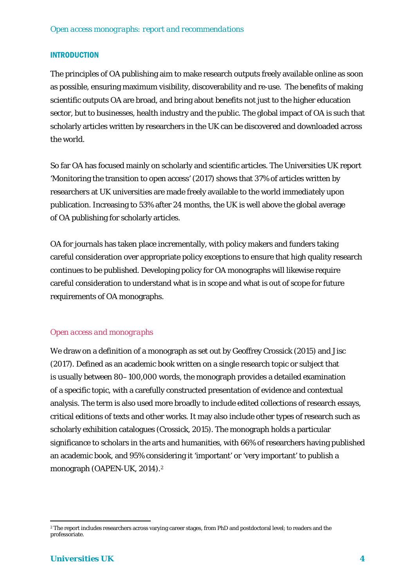#### INTRODUCTION

The principles of OA publishing aim to make research outputs freely available online as soon as possible, ensuring maximum visibility, discoverability and re-use. The benefits of making scientific outputs OA are broad, and bring about benefits not just to the higher education sector, but to businesses, health industry and the public. The global impact of OA is such that scholarly articles written by researchers in the UK can be discovered and downloaded across the world.

So far OA has focused mainly on scholarly and scientific articles. The Universities UK report 'Monitoring the transition to open access' (2017) shows that 37% of articles written by researchers at UK universities are made freely available to the world immediately upon publication. Increasing to 53% after 24 months, the UK is well above the global average of OA publishing for scholarly articles.

OA for journals has taken place incrementally, with policy makers and funders taking careful consideration over appropriate policy exceptions to ensure that high quality research continues to be published. Developing policy for OA monographs will likewise require careful consideration to understand what is in scope and what is out of scope for future requirements of OA monographs.

#### *Open access and monographs*

We draw on a definition of a monograph as set out by Geoffrey Crossick (2015) and Jisc (2017). Defined as an academic book written on a single research topic or subject that is usually between 80–100,000 words, the monograph provides a detailed examination of a specific topic, with a carefully constructed presentation of evidence and contextual analysis. The term is also used more broadly to include edited collections of research essays, critical editions of texts and other works. It may also include other types of research such as scholarly exhibition catalogues (Crossick, 2015). The monograph holds a particular significance to scholars in the arts and humanities, with 66% of researchers having published an academic book, and 95% considering it 'important' or 'very important' to publish a monograph (OAPEN-UK, 2014).[2](#page-4-0)

 $\overline{a}$ 

<span id="page-4-0"></span><sup>2</sup> The report includes researchers across varying career stages, from PhD and postdoctoral level; to readers and the professoriate.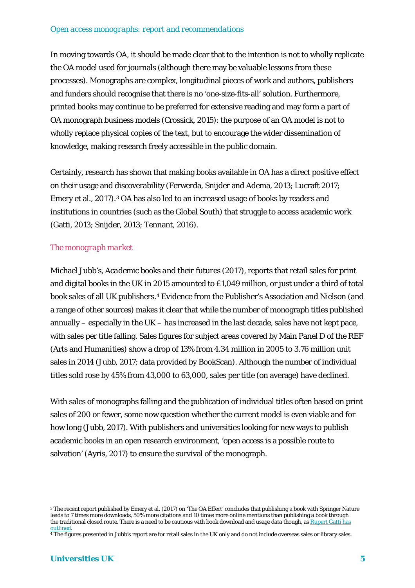In moving towards OA, it should be made clear that to the intention is not to wholly replicate the OA model used for journals (although there may be valuable lessons from these processes). Monographs are complex, longitudinal pieces of work and authors, publishers and funders should recognise that there is no 'one-size-fits-all' solution. Furthermore, printed books may continue to be preferred for extensive reading and may form a part of OA monograph business models (Crossick, 2015): the purpose of an OA model is not to wholly replace physical copies of the text, but to encourage the wider dissemination of knowledge, making research freely accessible in the public domain.

Certainly, research has shown that making books available in OA has a direct positive effect on their usage and discoverability (Ferwerda, Snijder and Adema, 2013; Lucraft 2017; Emery et al., 2017).[3](#page-5-0) OA has also led to an increased usage of books by readers and institutions in countries (such as the Global South) that struggle to access academic work (Gatti, 2013; Snijder, 2013; Tennant, 2016).

#### *The monograph market*

Michael Jubb's, *Academic books and their futures* (2017), reports that retail sales for print and digital books in the UK in 2015 amounted to £1,049 million, or just under a third of total book sales of all UK publishers.[4](#page-5-1) Evidence from the Publisher's Association and Nielson (and a range of other sources) makes it clear that while the number of monograph titles published annually – especially in the UK – has increased in the last decade, sales have not kept pace, with sales per title falling. Sales figures for subject areas covered by Main Panel D of the REF (Arts and Humanities) show a drop of 13% from 4.34 million in 2005 to 3.76 million unit sales in 2014 (Jubb, 2017; data provided by BookScan). Although the number of individual titles sold rose by 45% from 43,000 to 63,000, sales per title (on average) have declined.

With sales of monographs falling and the publication of individual titles often based on print sales of 200 or fewer, some now question whether the current model is even viable and for how long (Jubb, 2017). With publishers and universities looking for new ways to publish academic books in an open research environment, 'open access is a possible route to salvation' (Ayris, 2017) to ensure the survival of the monograph.

 $\overline{a}$ 

<span id="page-5-0"></span><sup>3</sup> The recent report published by Emery et al. (2017) on 'The OA Effect' concludes that publishing a book with Springer Nature leads to 7 times more downloads, 50% more citations and 10 times more online mentions than publishing a book through the traditional closed route. There is a need to be cautious with book download and usage data though, as Rupert Gatti has [outlined.](https://rupertgatti.wordpress.com/2017/12/11/handle-with-care-pitfalls-in-analysing-book-usage-data/)

<span id="page-5-1"></span><sup>4</sup> The figures presented in Jubb's report are for retail sales in the UK only and do not include overseas sales or library sales.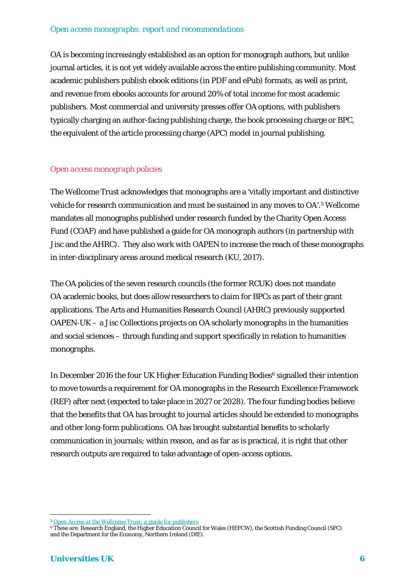OA is becoming increasingly established as an option for monograph authors, but unlike journal articles, it is not yet widely available across the entire publishing community. Most academic publishers publish ebook editions (in PDF and ePub) formats, as well as print, and revenue from ebooks accounts for around 20% of total income for most academic publishers. Most commercial and university presses offer OA options, with publishers typically charging an author-facing publishing charge, the book processing charge or BPC, the equivalent of the article processing charge (APC) model in journal publishing.

#### *Open access monograph policies*

The Wellcome Trust acknowledges that monographs are a 'vitally important and distinctive vehicle for research communication and must be sustained in any moves to OA'.[5](#page-6-0) Wellcome mandates all monographs published under research funded by the Charity Open Access Fund (COAF) and have published a guide for OA monograph authors (in partnership with Jisc and the AHRC). They also work with OAPEN to increase the reach of these monographs in inter-disciplinary areas around medical research (KU, 2017).

The OA policies of the seven research councils (the former RCUK) does not mandate OA academic books, but does allow researchers to claim for BPCs as part of their grant applications. The Arts and Humanities Research Council (AHRC) previously supported OAPEN-UK – a Jisc Collections projects on OA scholarly monographs in the humanities and social sciences – through funding and support specifically in relation to humanities monographs.

In December 201[6](#page-6-1) the four UK Higher Education Funding Bodies<sup>6</sup> signalled their intention to move towards a requirement for OA monographs in the Research Excellence Framework (REF) after next (expected to take place in 2027 or 2028). The four funding bodies believe that the benefits that OA has brought to journal articles should be extended to monographs and other long-form publications. OA has brought substantial benefits to scholarly communication in journals; within reason, and as far as is practical, it is right that other research outputs are required to take advantage of open-access options.

 $\overline{a}$ <sup>5</sup> *[Open Access at the Wellcome Trust: a guide for publishers](https://wellcome.ac.uk/funding/managing-grant/open-access-policy)*

<span id="page-6-1"></span><span id="page-6-0"></span><sup>6</sup> These are: Research England, the Higher Education Council for Wales (HEFCW), the Scottish Funding Council (SFC) and the Department for the Economy, Northern Ireland (DfE).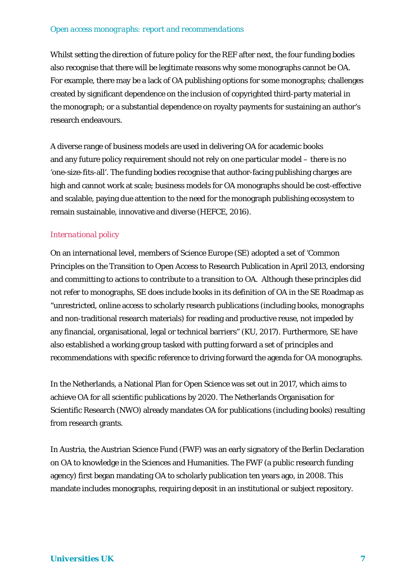Whilst setting the direction of future policy for the REF after next, the four funding bodies also recognise that there will be legitimate reasons why some monographs cannot be OA. For example, there may be a lack of OA publishing options for some monographs; challenges created by significant dependence on the inclusion of copyrighted third-party material in the monograph; or a substantial dependence on royalty payments for sustaining an author's research endeavours.

A diverse range of business models are used in delivering OA for academic books and any future policy requirement should not rely on one particular model – there is no 'one-size-fits-all'. The funding bodies recognise that author-facing publishing charges are high and cannot work at scale; business models for OA monographs should be cost-effective and scalable, paying due attention to the need for the monograph publishing ecosystem to remain sustainable, innovative and diverse (HEFCE, 2016).

#### *International policy*

On an international level, members of Science Europe (SE) adopted a set of 'Common Principles on the Transition to Open Access to Research Publication in April 2013, endorsing and committing to actions to contribute to a transition to OA. Although these principles did not refer to monographs, SE does include books in its definition of OA in the SE Roadmap as "unrestricted, online access to scholarly research publications (including books, monographs and non-traditional research materials) for reading and productive reuse, not impeded by any financial, organisational, legal or technical barriers" (KU, 2017). Furthermore, SE have also established a working group tasked with putting forward a set of principles and recommendations with specific reference to driving forward the agenda for OA monographs.

In the Netherlands, a National Plan for Open Science was set out in 2017, which aims to achieve OA for all scientific publications by 2020. The Netherlands Organisation for Scientific Research (NWO) already mandates OA for publications (including books) resulting from research grants.

In Austria, the Austrian Science Fund (FWF) was an early signatory of the Berlin Declaration on OA to knowledge in the Sciences and Humanities. The FWF (a public research funding agency) first began mandating OA to scholarly publication ten years ago, in 2008. This mandate includes monographs, requiring deposit in an institutional or subject repository.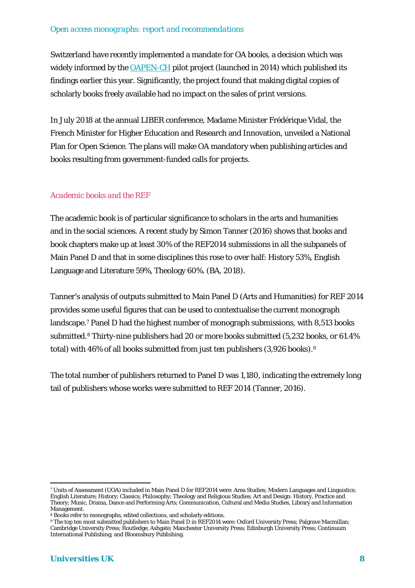Switzerland have recently implemented a mandate for OA books, a decision which was widely informed by the [OAPEN-CH](http://www.snf.ch/en/funding/science-communication/oapen-ch/Pages/default.aspx) pilot project (launched in 2014) which published its findings earlier this year. Significantly, the project found that making digital copies of scholarly books freely available had no impact on the sales of print versions.

In July 2018 at the annual LIBER conference, Madame Minister Frédérique Vidal, the French Minister for Higher Education and Research and Innovation, unveiled a National Plan for Open Science. The plans will make OA mandatory when publishing articles and books resulting from government-funded calls for projects.

#### *Academic books and the REF*

The academic book is of particular significance to scholars in the arts and humanities and in the social sciences. A recent study by Simon Tanner (2016) shows that books and book chapters make up at least 30% of the REF2014 submissions in all the subpanels of Main Panel D and that in some disciplines this rose to over half: History 53%, English Language and Literature 59%, Theology 60%. (BA, 2018).

Tanner's analysis of outputs submitted to Main Panel D (Arts and Humanities) for REF 2014 provides some useful figures that can be used to contextualise the current monograph landscape.[7](#page-8-0) Panel D had the highest number of monograph submissions, with 8,513 books submitted.[8](#page-8-1) Thirty-nine publishers had 20 or more books submitted (5,232 books, or 61.4% total) with 46% of all books submitted from just ten publishers (3,926 books).[9](#page-8-2) 

The total number of publishers returned to Panel D was 1,180, indicating the extremely long tail of publishers whose works were submitted to REF 2014 (Tanner, 2016).

 $\overline{a}$ 

<span id="page-8-0"></span><sup>7</sup> Units of Assessment (UOA) included in Main Panel D for REF2014 were: Area Studies; Modern Languages and Linguistics; English Literature; History; Classics; Philosophy; Theology and Religious Studies; Art and Design: History, Practice and Theory; Music, Drama, Dance and Performing Arts; Communication, Cultural and Media Studies, Library and Information Management.

<span id="page-8-1"></span><sup>8</sup> Books refer to monographs, edited collections, and scholarly editions.

<span id="page-8-2"></span><sup>9</sup> The top ten most submitted publishers to Main Panel D in REF2014 were: Oxford University Press; Palgrave Macmillan; Cambridge University Press; Routledge; Ashgate; Manchester University Press; Edinburgh University Press; Continuum International Publishing; and Bloomsbury Publishing.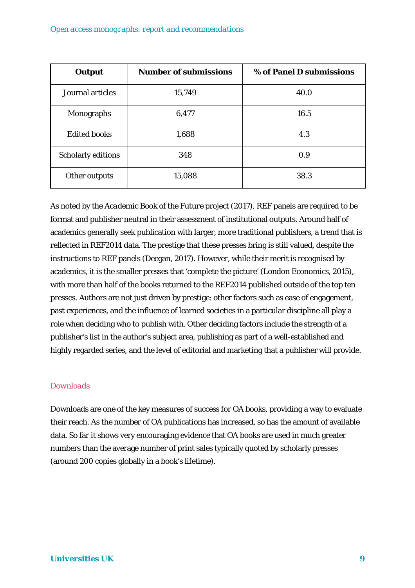| <b>Output</b>             | <b>Number of submissions</b> | % of Panel D submissions |
|---------------------------|------------------------------|--------------------------|
| Journal articles          | 15,749                       | 40.0                     |
| <b>Monographs</b>         | 6,477                        | 16.5                     |
| <b>Edited books</b>       | 1,688                        | 4.3                      |
| <b>Scholarly editions</b> | 348                          | 0.9                      |
| Other outputs             | 15,088                       | 38.3                     |

As noted by the *Academic Book of the Future* project (2017), REF panels are required to be format and publisher neutral in their assessment of institutional outputs. Around half of academics generally seek publication with larger, more traditional publishers, a trend that is reflected in REF2014 data. The prestige that these presses bring is still valued, despite the instructions to REF panels (Deegan, 2017). However, while their merit is recognised by academics, it is the smaller presses that 'complete the picture' (London Economics, 2015), with more than half of the books returned to the REF2014 published outside of the top ten presses. Authors are not just driven by prestige: other factors such as ease of engagement, past experiences, and the influence of learned societies in a particular discipline all play a role when deciding who to publish with. Other deciding factors include the strength of a publisher's list in the author's subject area, publishing as part of a well-established and highly regarded series, and the level of editorial and marketing that a publisher will provide.

#### *Downloads*

Downloads are one of the key measures of success for OA books, providing a way to evaluate their reach. As the number of OA publications has increased, so has the amount of available data. So far it shows very encouraging evidence that OA books are used in much greater numbers than the average number of print sales typically quoted by scholarly presses (around 200 copies globally in a book's lifetime).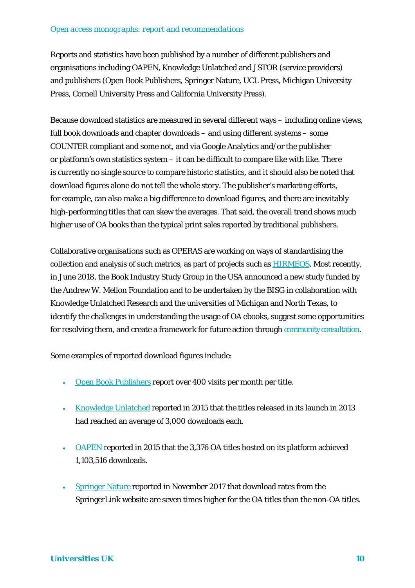Reports and statistics have been published by a number of different publishers and organisations including OAPEN, Knowledge Unlatched and JSTOR (service providers) and publishers (Open Book Publishers, Springer Nature, UCL Press, Michigan University Press, Cornell University Press and California University Press).

Because download statistics are measured in several different ways – including online views, full book downloads and chapter downloads – and using different systems – some COUNTER compliant and some not, and via Google Analytics and/or the publisher or platform's own statistics system – it can be difficult to compare like with like. There is currently no single source to compare historic statistics, and it should also be noted that download figures alone do not tell the whole story. The publisher's marketing efforts, for example, can also make a big difference to download figures, and there are inevitably high-performing titles that can skew the averages. That said, the overall trend shows much higher use of OA books than the typical print sales reported by traditional publishers.

Collaborative organisations such as OPERAS are working on ways of standardising the collection and analysis of such metrics, as part of projects such as **HIRMEOS**. Most recently, in June 2018, the Book Industry Study Group in the USA announced a new study funded by the Andrew W. Mellon Foundation and to be undertaken by the BISG in collaboration with Knowledge Unlatched Research and the universities of Michigan and North Texas, to identify the challenges in understanding the usage of OA ebooks, suggest some opportunities for resolving them, and create a framework for future action through [community consultation.](https://bisg.org/news/403482/Understanding-OA-Ebook-Usage-Toward-a-Common-Framework.html)

Some examples of reported download figures include:

- [Open Book Publishers](http://blogs.openbookpublishers.com/introducing-data-to-the-open-access-debate-obps-business-model-part-two/) report over 400 visits per month per title.
- [Knowledge Unlatched](http://www.knowledgeunlatched.org/2017/01/usage-statistics/) reported in 2015 that the titles released in its launch in 2013 had reached an average of 3,000 downloads each.
- [OAPEN](http://www.oapen.org/content/about-annual-report-2015) reported in 2015 that the 3,376 OA titles hosted on its platform achieved 1,103,516 downloads.
- [Springer Nature](http://www.springernature.com/gp/open-research/journals-books/books/the-oa-effect) reported in November 2017 that download rates from the SpringerLink website are seven times higher for the OA titles than the non-OA titles.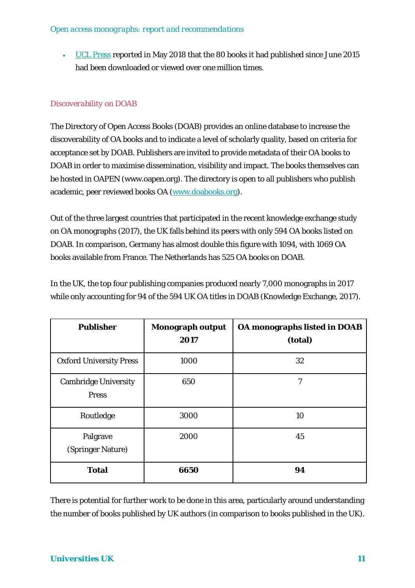• [UCL Press](http://www.ucl.ac.uk/news/news-articles/0518/230518-ucl-press) reported in May 2018 that the 80 books it had published since June 2015 had been downloaded or viewed over one million times.

### *Discoverability on DOAB*

The Directory of Open Access Books (DOAB) provides an online database to increase the discoverability of OA books and to indicate a level of scholarly quality, based on criteria for acceptance set by DOAB. Publishers are invited to provide metadata of their OA books to DOAB in order to maximise dissemination, visibility and impact. The books themselves can be hosted in OAPEN (www.oapen.org). The directory is open to all publishers who publish academic, peer reviewed books OA [\(www.doabooks.org\)](http://www.doabooks.org/).

Out of the three largest countries that participated in the recent knowledge exchange study on OA monographs (2017), the UK falls behind its peers with only 594 OA books listed on DOAB. In comparison, Germany has almost double this figure with 1094, with 1069 OA books available from France. The Netherlands has 525 OA books on DOAB.

In the UK, the top four publishing companies produced nearly 7,000 monographs in 2017 while only accounting for 94 of the 594 UK OA titles in DOAB (Knowledge Exchange, 2017).

| <b>Publisher</b>                            | <b>Monograph output</b><br>2017 | <b>OA monographs listed in DOAB</b><br>(total) |
|---------------------------------------------|---------------------------------|------------------------------------------------|
| <b>Oxford University Press</b>              | 1000                            | 32                                             |
| <b>Cambridge University</b><br><b>Press</b> | 650                             | 7                                              |
| Routledge                                   | 3000                            | 10                                             |
| Palgrave<br>(Springer Nature)               | 2000                            | 45                                             |
| <b>Total</b>                                | 6650                            | 94                                             |

There is potential for further work to be done in this area, particularly around understanding the number of books published by UK authors (in comparison to books published in the UK).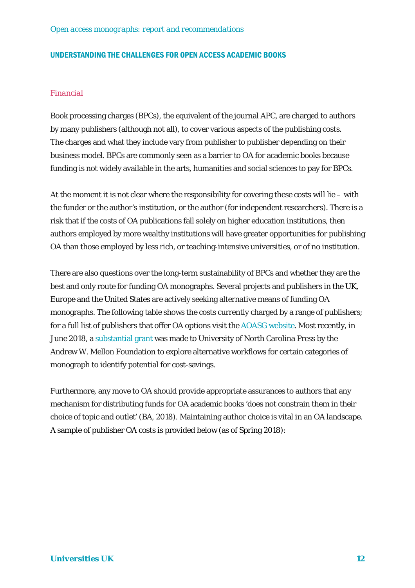#### UNDERSTANDING THE CHALLENGES FOR OPEN ACCESS ACADEMIC BOOKS

#### *Financial*

Book processing charges (BPCs), the equivalent of the journal APC, are charged to authors by many publishers (although not all), to cover various aspects of the publishing costs. The charges and what they include vary from publisher to publisher depending on their business model. BPCs are commonly seen as a barrier to OA for academic books because funding is not widely available in the arts, humanities and social sciences to pay for BPCs.

At the moment it is not clear where the responsibility for covering these costs will lie – with the funder or the author's institution, or the author (for independent researchers). There is a risk that if the costs of OA publications fall solely on higher education institutions, then authors employed by more wealthy institutions will have greater opportunities for publishing OA than those employed by less rich, or teaching-intensive universities, or of no institution.

There are also questions over the long-term sustainability of BPCs and whether they are the best and only route for funding OA monographs. Several projects and publishers in the UK, Europe and the United States are actively seeking alternative means of funding OA monographs. The following table shows the costs currently charged by a range of publishers; for a full list of publishers that offer OA options visit the [AOASG website.](https://aoasg.org.au/oa-monographs-developments/) Most recently, in June 2018, a [substantial grant](http://www.longleafservices.org/blog/oa-monographs/) was made to University of North Carolina Press by the Andrew W. Mellon Foundation to explore alternative workflows for certain categories of monograph to identify potential for cost-savings.

Furthermore, any move to OA should provide appropriate assurances to authors that any mechanism for distributing funds for OA academic books 'does not constrain them in their choice of topic and outlet' (BA, 2018). Maintaining author choice is vital in an OA landscape. A sample of publisher OA costs is provided below (as of Spring 2018):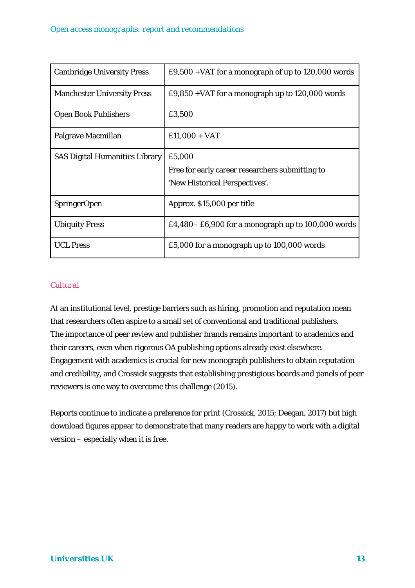| <b>Cambridge University Press</b>     | £9,500 + VAT for a monograph of up to 120,000 words                                         |
|---------------------------------------|---------------------------------------------------------------------------------------------|
| <b>Manchester University Press</b>    | £9,850 + VAT for a monograph up to $120,000$ words                                          |
| <b>Open Book Publishers</b>           | £3,500                                                                                      |
| Palgrave Macmillan                    | $£11,000 + VAT$                                                                             |
| <b>SAS Digital Humanities Library</b> | £5,000<br>Free for early career researchers submitting to<br>'New Historical Perspectives'. |
| <b>SpringerOpen</b>                   | Approx. \$15,000 per title                                                                  |
| <b>Ubiquity Press</b>                 | £4,480 - £6,900 for a monograph up to $100,000$ words                                       |
| <b>UCL Press</b>                      | £5,000 for a monograph up to 100,000 words                                                  |

#### *Cultural*

At an institutional level, prestige barriers such as hiring, promotion and reputation mean that researchers often aspire to a small set of conventional and traditional publishers. The importance of peer review and publisher brands remains important to academics and their careers, even when rigorous OA publishing options already exist elsewhere. Engagement with academics is crucial for new monograph publishers to obtain reputation and credibility, and Crossick suggests that establishing prestigious boards and panels of peer reviewers is one way to overcome this challenge (2015).

Reports continue to indicate a preference for print (Crossick, 2015; Deegan, 2017) but high download figures appear to demonstrate that many readers are happy to work with a digital version – especially when it is free.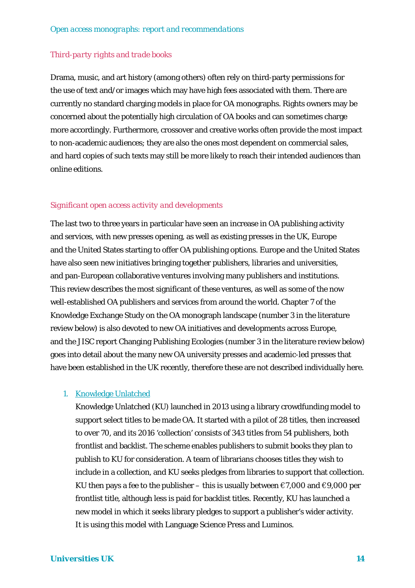#### *Third-party rights and trade books*

Drama, music, and art history (among others) often rely on third-party permissions for the use of text and/or images which may have high fees associated with them. There are currently no standard charging models in place for OA monographs. Rights owners may be concerned about the potentially high circulation of OA books and can sometimes charge more accordingly. Furthermore, crossover and creative works often provide the most impact to non-academic audiences; they are also the ones most dependent on commercial sales, and hard copies of such texts may still be more likely to reach their intended audiences than online editions.

#### *Significant open access activity and developments*

The last two to three years in particular have seen an increase in OA publishing activity and services, with new presses opening, as well as existing presses in the UK, Europe and the United States starting to offer OA publishing options. Europe and the United States have also seen new initiatives bringing together publishers, libraries and universities, and pan-European collaborative ventures involving many publishers and institutions. This review describes the most significant of these ventures, as well as some of the now well-established OA publishers and services from around the world. Chapter 7 of the Knowledge Exchange Study on the OA monograph landscape (number 3 in the literature review below) is also devoted to new OA initiatives and developments across Europe, and the JISC report Changing Publishing Ecologies (number 3 in the literature review below) goes into detail about the many new OA university presses and academic-led presses that have been established in the UK recently, therefore these are not described individually here.

#### 1. [Knowledge Unlatched](http://www.knowledgeunlatched.org/)

Knowledge Unlatched (KU) launched in 2013 using a library crowdfunding model to support select titles to be made OA. It started with a pilot of 28 titles, then increased to over 70, and its 2016 'collection' consists of 343 titles from 54 publishers, both frontlist and backlist. The scheme enables publishers to submit books they plan to publish to KU for consideration. A team of librarians chooses titles they wish to include in a collection, and KU seeks pledges from libraries to support that collection. KU then pays a fee to the publisher – this is usually between  $\epsilon$ 7,000 and  $\epsilon$ 9,000 per frontlist title, although less is paid for backlist titles. Recently, KU has launched a new model in which it seeks library pledges to support a publisher's wider activity. It is using this model with Language Science Press and Luminos.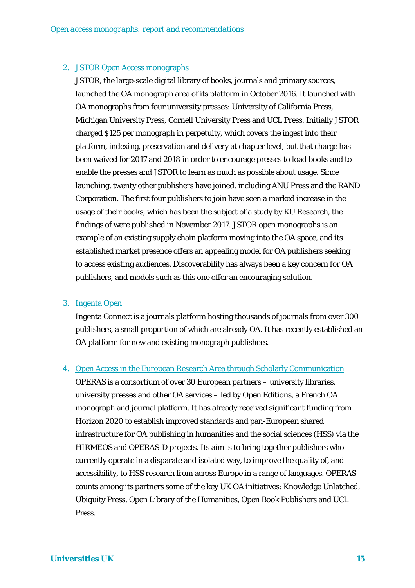#### 2. [JSTOR Open Access monographs](https://about.jstor.org/whats-in-jstor/books/open-access-books-jstor/)

JSTOR, the large-scale digital library of books, journals and primary sources, launched the OA monograph area of its platform in October 2016. It launched with OA monographs from four university presses: University of California Press, Michigan University Press, Cornell University Press and UCL Press. Initially JSTOR charged \$125 per monograph in perpetuity, which covers the ingest into their platform, indexing, preservation and delivery at chapter level, but that charge has been waived for 2017 and 2018 in order to encourage presses to load books and to enable the presses and JSTOR to learn as much as possible about usage. Since launching, twenty other publishers have joined, including ANU Press and the RAND Corporation. The first four publishers to join have seen a marked increase in the usage of their books, which has been the subject of a study by KU Research, the findings of were published in November 2017. JSTOR open monographs is an example of an existing supply chain platform moving into the OA space, and its established market presence offers an appealing model for OA publishers seeking to access existing audiences. Discoverability has always been a key concern for OA publishers, and models such as this one offer an encouraging solution.

#### 3. [Ingenta Open](http://www.ingenta.com/products/content-management/ingenta-open/)

Ingenta Connect is a journals platform hosting thousands of journals from over 300 publishers, a small proportion of which are already OA. It has recently established an OA platform for new and existing monograph publishers.

#### 4. [Open Access in the European Research Area through Scholarly Communication](http://operas.hypotheses.org/)

OPERAS is a consortium of over 30 European partners – university libraries, university presses and other OA services – led by Open Editions, a French OA monograph and journal platform. It has already received significant funding from Horizon 2020 to establish improved standards and pan-European shared infrastructure for OA publishing in humanities and the social sciences (HSS) via the HIRMEOS and OPERAS-D projects. Its aim is to bring together publishers who currently operate in a disparate and isolated way, to improve the quality of, and accessibility, to HSS research from across Europe in a range of languages. OPERAS counts among its partners some of the key UK OA initiatives: Knowledge Unlatched, Ubiquity Press, Open Library of the Humanities, Open Book Publishers and UCL Press.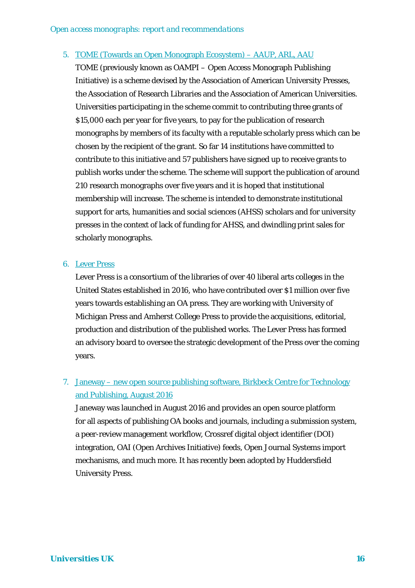#### 5. [TOME \(Towards an Open Monograph Ecosystem\) –](http://www.aaupnet.org/news-a-publications/news/1561-aau-arl-aaup-to-launch-open-access-monograph-publishing-initiative) AAUP, ARL, AAU

TOME (previously known as OAMPI – Open Access Monograph Publishing Initiative) is a scheme devised by the Association of American University Presses, the Association of Research Libraries and the Association of American Universities. Universities participating in the scheme commit to contributing three grants of \$15,000 each per year for five years, to pay for the publication of research monographs by members of its faculty with a reputable scholarly press which can be chosen by the recipient of the grant. So far 14 institutions have committed to contribute to this initiative and 57 publishers have signed up to receive grants to publish works under the scheme. The scheme will support the publication of around 210 research monographs over five years and it is hoped that institutional membership will increase. The scheme is intended to demonstrate institutional support for arts, humanities and social sciences (AHSS) scholars and for university presses in the context of lack of funding for AHSS, and dwindling print sales for scholarly monographs.

#### 6. [Lever Press](https://www.leverpress.org/)

Lever Press is a consortium of the libraries of over 40 liberal arts colleges in the United States established in 2016, who have contributed over \$1 million over five years towards establishing an OA press. They are working with University of Michigan Press and Amherst College Press to provide the acquisitions, editorial, production and distribution of the published works. The Lever Press has formed an advisory board to oversee the strategic development of the Press over the coming years.

# 7. Janeway – [new open source publishing software, Birkbeck Centre for Technology](http://www.ctp.bbk.ac.uk/2017/08/04/birkbeck-centre-for-technology-and-publishing-releases-scholarly-communications-platform-janeway/)  [and Publishing,](http://www.ctp.bbk.ac.uk/2017/08/04/birkbeck-centre-for-technology-and-publishing-releases-scholarly-communications-platform-janeway/) August 2016

Janeway was launched in August 2016 and provides an open source platform for all aspects of publishing OA books and journals, including a submission system, a peer-review management workflow, Crossref digital object identifier (DOI) integration, OAI (Open Archives Initiative) feeds, Open Journal Systems import mechanisms, and much more. It has recently been adopted by Huddersfield University Press.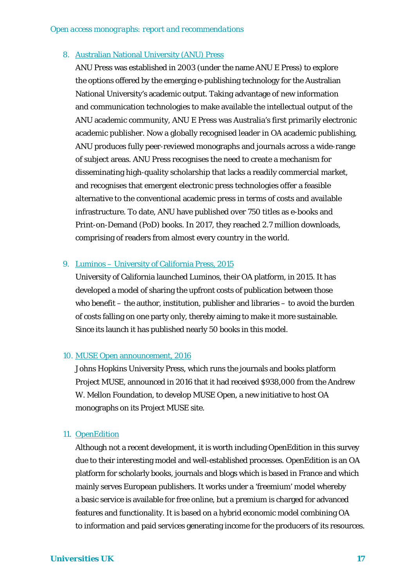#### 8. [Australian National University \(ANU\) Press](https://press.anu.edu.au/)

ANU Press was established in 2003 (under the name ANU E Press) to explore the options offered by the emerging e-publishing technology for the Australian National University's academic output. Taking advantage of new information and communication technologies to make available the intellectual output of the ANU academic community, ANU E Press was Australia's first primarily electronic academic publisher. Now a globally recognised leader in OA academic publishing, ANU produces fully peer-reviewed monographs and journals across a wide-range of subject areas. ANU Press recognises the need to create a mechanism for disseminating high-quality scholarship that lacks a readily commercial market, and recognises that emergent electronic press technologies offer a feasible alternative to the conventional academic press in terms of costs and available infrastructure. To date, ANU have published over 750 titles as e-books and Print-on-Demand (PoD) books. In 2017, they reached 2.7 million downloads, comprising of readers from almost every country in the world.

#### 9. Luminos – [University of California Press, 2015](https://www.luminosoa.org/site/books/)

University of California launched Luminos, their OA platform, in 2015. It has developed a model of sharing the upfront costs of publication between those who benefit – the author, institution, publisher and libraries – to avoid the burden of costs falling on one party only, thereby aiming to make it more sustainable. Since its launch it has published nearly 50 books in this model.

#### 10. [MUSE Open announcement,](https://www.press.jhu.edu/news/announcements/mellon-foundation-fund-muse-open-new-oa-platform) 2016

Johns Hopkins University Press, which runs the journals and books platform Project MUSE, announced in 2016 that it had received \$938,000 from the Andrew W. Mellon Foundation, to develop MUSE Open, a new initiative to host OA monographs on its Project MUSE site.

#### 11. [OpenEdition](https://books.openedition.org/?lang=en)

Although not a recent development, it is worth including OpenEdition in this survey due to their interesting model and well-established processes. OpenEdition is an OA platform for scholarly books, journals and blogs which is based in France and which mainly serves European publishers. It works under a 'freemium' model whereby a basic service is available for free online, but a premium is charged for advanced features and functionality. It is based on a hybrid economic model combining OA to information and paid services generating income for the producers of its resources.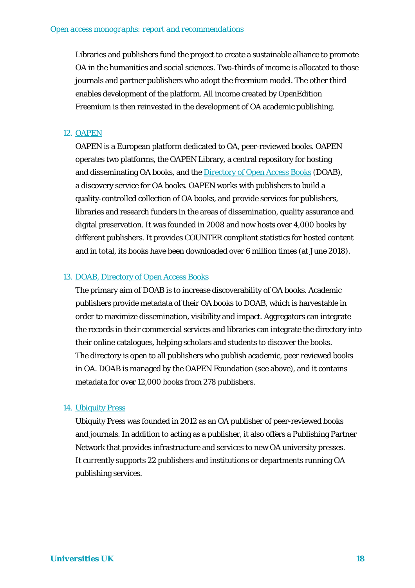Libraries and publishers fund the project to create a sustainable alliance to promote OA in the humanities and social sciences. Two-thirds of income is allocated to those journals and partner publishers who adopt the freemium model. The other third enables development of the platform. All income created by OpenEdition Freemium is then reinvested in the development of OA academic publishing.

#### 12. [OAPEN](http://www.oapen.org/home)

OAPEN is a European platform dedicated to OA, peer-reviewed books. OAPEN operates two platforms, the OAPEN Library, a central repository for hosting and disseminating OA books, and the [Directory of Open Access Books](http://www.doabooks.org/) (DOAB), a discovery service for OA books. OAPEN works with publishers to build a quality-controlled collection of OA books, and provide services for publishers, libraries and research funders in the areas of dissemination, quality assurance and digital preservation. It was founded in 2008 and now hosts over 4,000 books by different publishers. It provides COUNTER compliant statistics for hosted content and in total, its books have been downloaded over 6 million times (at June 2018).

#### 13. [DOAB, Directory of Open Access Books](https://www.doabooks.org/doab?uiLanguage=en)

The primary aim of DOAB is to increase discoverability of OA books. Academic publishers provide metadata of their OA books to DOAB, which is harvestable in order to maximize dissemination, visibility and impact. Aggregators can integrate the records in their commercial services and libraries can integrate the directory into their online catalogues, helping scholars and students to discover the books. The directory is open to all publishers who publish academic, peer reviewed books in OA. DOAB is managed by the OAPEN Foundation (see above), and it contains metadata for over 12,000 books from 278 publishers.

#### 14. [Ubiquity Press](https://www.ubiquitypress.com/)

Ubiquity Press was founded in 2012 as an OA publisher of peer-reviewed books and journals. In addition to acting as a publisher, it also offers a Publishing Partner Network that provides infrastructure and services to new OA university presses. It currently supports 22 publishers and institutions or departments running OA publishing services.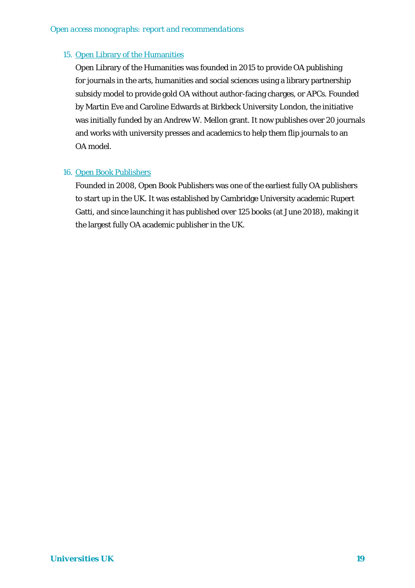#### 15. [Open Library of the Humanities](https://www.openlibhums.org/)

Open Library of the Humanities was founded in 2015 to provide OA publishing for journals in the arts, humanities and social sciences using a library partnership subsidy model to provide gold OA without author-facing charges, or APCs. Founded by Martin Eve and Caroline Edwards at Birkbeck University London, the initiative was initially funded by an Andrew W. Mellon grant. It now publishes over 20 journals and works with university presses and academics to help them flip journals to an OA model.

#### 16. [Open Book Publishers](https://www.openbookpublishers.com/)

Founded in 2008, Open Book Publishers was one of the earliest fully OA publishers to start up in the UK. It was established by Cambridge University academic Rupert Gatti, and since launching it has published over 125 books (at June 2018), making it the largest fully OA academic publisher in the UK.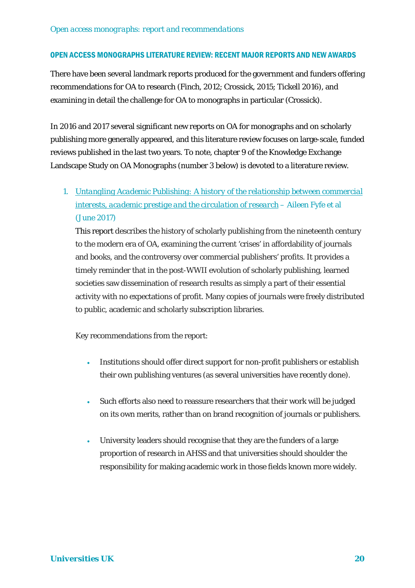#### OPEN ACCESS MONOGRAPHS LITERATURE REVIEW: RECENT MAJOR REPORTS AND NEW AWARDS

There have been several landmark reports produced for the government and funders offering recommendations for OA to research (Finch, 2012; Crossick, 2015; Tickell 2016), and examining in detail the challenge for OA to monographs in particular (Crossick).

In 2016 and 2017 several significant new reports on OA for monographs and on scholarly publishing more generally appeared, and this literature review focuses on large-scale, funded reviews published in the last two years. To note, chapter 9 of the Knowledge Exchange Landscape Study on OA Monographs (number 3 below) is devoted to a literature review.

1. *[Untangling Academic Publishing: A history of the relationship between commercial](https://zenodo.org/record/546100#.WdJvzTbwGf4)  [interests, academic prestige and the circulation of research](https://zenodo.org/record/546100#.WdJvzTbwGf4)* – Aileen Fyfe et al (June 2017)

This report describes the history of scholarly publishing from the nineteenth century to the modern era of OA, examining the current 'crises' in affordability of journals and books, and the controversy over commercial publishers' profits. It provides a timely reminder that in the post-WWII evolution of scholarly publishing, learned societies saw dissemination of research results as simply a part of their essential activity with no expectations of profit. Many copies of journals were freely distributed to public, academic and scholarly subscription libraries.

Key recommendations from the report:

- Institutions should offer direct support for non-profit publishers or establish their own publishing ventures (as several universities have recently done).
- Such efforts also need to reassure researchers that their work will be judged on its own merits, rather than on brand recognition of journals or publishers.
- University leaders should recognise that they are the funders of a large proportion of research in AHSS and that universities should shoulder the responsibility for making academic work in those fields known more widely.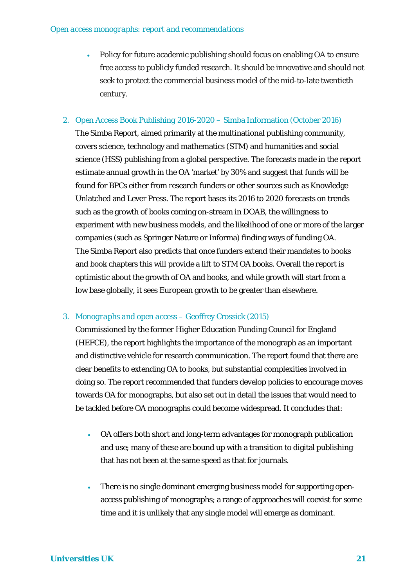- Policy for future academic publishing should focus on enabling OA to ensure free access to publicly funded research. It should be innovative and should not seek to protect the commercial business model of the mid-to-late twentieth century.
- 2. *Open Access Book Publishing 2016-2020* Simba Information (October 2016) The Simba Report, aimed primarily at the multinational publishing community, covers science, technology and mathematics (STM) and humanities and social science (HSS) publishing from a global perspective. The forecasts made in the report estimate annual growth in the OA 'market' by 30% and suggest that funds will be found for BPCs either from research funders or other sources such as Knowledge Unlatched and Lever Press. The report bases its 2016 to 2020 forecasts on trends such as the growth of books coming on-stream in DOAB, the willingness to experiment with new business models, and the likelihood of one or more of the larger companies (such as Springer Nature or Informa) finding ways of funding OA. The Simba Report also predicts that once funders extend their mandates to books and book chapters this will provide a lift to STM OA books. Overall the report is optimistic about the growth of OA and books, and while growth will start from a low base globally, it sees European growth to be greater than elsewhere.

#### 3. *Monographs and open access* – Geoffrey Crossick (2015)

Commissioned by the former Higher Education Funding Council for England (HEFCE), the report highlights the importance of the monograph as an important and distinctive vehicle for research communication. The report found that there are clear benefits to extending OA to books, but substantial complexities involved in doing so. The report recommended that funders develop policies to encourage moves towards OA for monographs, but also set out in detail the issues that would need to be tackled before OA monographs could become widespread. It concludes that:

- OA offers both short and long-term advantages for monograph publication and use; many of these are bound up with a transition to digital publishing that has not been at the same speed as that for journals.
- There is no single dominant emerging business model for supporting openaccess publishing of monographs; a range of approaches will coexist for some time and it is unlikely that any single model will emerge as dominant.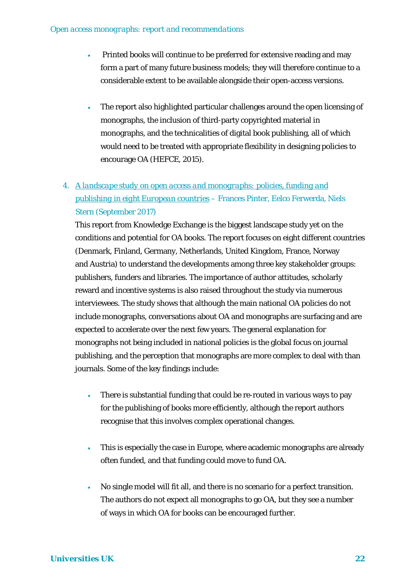- Printed books will continue to be preferred for extensive reading and may form a part of many future business models; they will therefore continue to a considerable extent to be available alongside their open-access versions.
- The report also highlighted particular challenges around the open licensing of monographs, the inclusion of third-party copyrighted material in monographs, and the technicalities of digital book publishing, all of which would need to be treated with appropriate flexibility in designing policies to encourage OA (HEFCE, 2015).

# 4. *[A landscape study on open access and monographs: policies, funding and](http://repository.jisc.ac.uk/6693/1/Landscape_study_on_OA_and_Monographs_Oct_2017_KE.pdf)  [publishing in eight European countries](http://repository.jisc.ac.uk/6693/1/Landscape_study_on_OA_and_Monographs_Oct_2017_KE.pdf)* – Frances Pinter, Eelco Ferwerda, Niels Stern (September 2017)

This report from Knowledge Exchange is the biggest landscape study yet on the conditions and potential for OA books. The report focuses on eight different countries (Denmark, Finland, Germany, Netherlands, United Kingdom, France, Norway and Austria) to understand the developments among three key stakeholder groups: publishers, funders and libraries. The importance of author attitudes, scholarly reward and incentive systems is also raised throughout the study via numerous interviewees. The study shows that although the main national OA policies do not include monographs, conversations about OA and monographs are surfacing and are expected to accelerate over the next few years. The general explanation for monographs not being included in national policies is the global focus on journal publishing, and the perception that monographs are more complex to deal with than journals. Some of the key findings include:

- There is substantial funding that could be re-routed in various ways to pay for the publishing of books more efficiently, although the report authors recognise that this involves complex operational changes.
- This is especially the case in Europe, where academic monographs are already often funded, and that funding could move to fund OA.
- No single model will fit all, and there is no scenario for a perfect transition. The authors do not expect all monographs to go OA, but they see a number of ways in which OA for books can be encouraged further.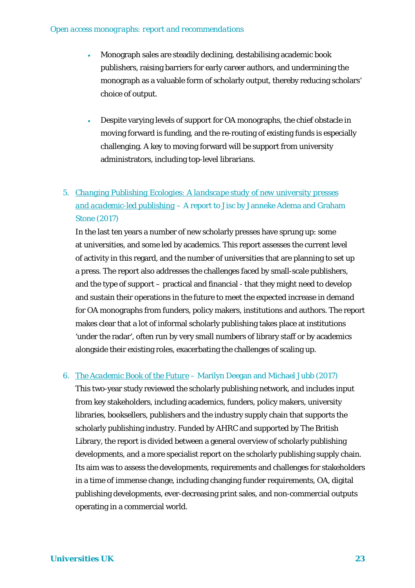- Monograph sales are steadily declining, destabilising academic book publishers, raising barriers for early career authors, and undermining the monograph as a valuable form of scholarly output, thereby reducing scholars' choice of output.
- Despite varying levels of support for OA monographs, the chief obstacle in moving forward is funding, and the re-routing of existing funds is especially challenging. A key to moving forward will be support from university administrators, including top-level librarians.

# 5. *[Changing Publishing Ecologies: A landscape study of new university presses](http://repository.jisc.ac.uk/6666/1/Changing-publishing-ecologies-report.pdf)  [and academic-led publishing](http://repository.jisc.ac.uk/6666/1/Changing-publishing-ecologies-report.pdf)* – A report to Jisc by Janneke Adema and Graham Stone (2017)

In the last ten years a number of new scholarly presses have sprung up: some at universities, and some led by academics. This report assesses the current level of activity in this regard, and the number of universities that are planning to set up a press. The report also addresses the challenges faced by small-scale publishers, and the type of support – practical and financial - that they might need to develop and sustain their operations in the future to meet the expected increase in demand for OA monographs from funders, policy makers, institutions and authors. The report makes clear that a lot of informal scholarly publishing takes place at institutions 'under the radar', often run by very small numbers of library staff or by academics alongside their existing roles, exacerbating the challenges of scaling up.

#### 6. *[The Academic Book of the Future](https://academicbookfuture.org/end-of-project-reports-2/)* – Marilyn Deegan and Michael Jubb (2017)

This two-year study reviewed the scholarly publishing network, and includes input from key stakeholders, including academics, funders, policy makers, university libraries, booksellers, publishers and the industry supply chain that supports the scholarly publishing industry. Funded by AHRC and supported by The British Library, the report is divided between a general overview of scholarly publishing developments, and a more specialist report on the scholarly publishing supply chain. Its aim was to assess the developments, requirements and challenges for stakeholders in a time of immense change, including changing funder requirements, OA, digital publishing developments, ever-decreasing print sales, and non-commercial outputs operating in a commercial world.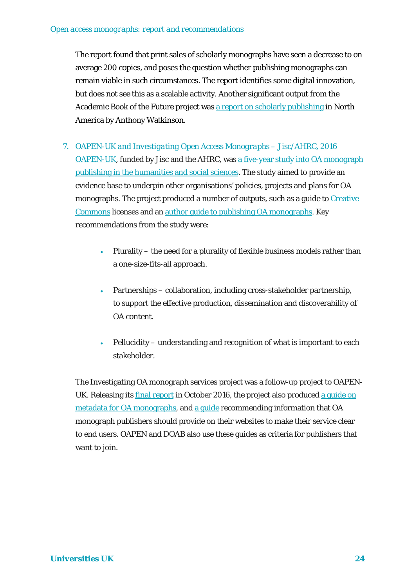The report found that print sales of scholarly monographs have seen a decrease to on average 200 copies, and poses the question whether publishing monographs can remain viable in such circumstances. The report identifies some digital innovation, but does not see this as a scalable activity. Another significant output from the Academic Book of the Future project was [a report on scholarly publishing](https://academicbookfuture.org/academic-book-north-america-watkinson/) in North America by Anthony Watkinson.

- 7. *OAPEN-UK and Investigating Open Access Monographs* Jisc/AHRC, 2016 [OAPEN-UK,](http://oapen-uk.jiscebooks.org/) funded by Jisc and the AHRC, was [a five-year study into OA monograph](http://oapen-uk.jiscebooks.org/files/2016/01/OAPEN-UK-final-report-single-page-view.pdf)  [publishing in the humanities and social sciences.](http://oapen-uk.jiscebooks.org/files/2016/01/OAPEN-UK-final-report-single-page-view.pdf) The study aimed to provide an evidence base to underpin other organisations' policies, projects and plans for OA monographs. The project produced a number of outputs, such as a guide to Creative [Commons](http://oapen-uk.jiscebooks.org/ccguide/) licenses and an [author guide to publishing OA monographs.](http://oapen-uk.jiscebooks.org/oaguide/) Key recommendations from the study were:
	- Plurality the need for a plurality of flexible business models rather than a one-size-fits-all approach.
	- Partnerships collaboration, including cross-stakeholder partnership, to support the effective production, dissemination and discoverability of OA content.
	- Pellucidity understanding and recognition of what is important to each stakeholder.

The Investigating OA monograph services project was a follow-up project to OAPENUK. Releasing its [final report](https://www.jisc-collections.ac.uk/Global/Investigating%20OA%20Monograph%20Services/Jisc-OAPEN%20pilot%20Final%20report.pdf) in October 2016, the project also produced a guide on [metadata for OA monographs,](http://www.oapen.org/content/sites/default/files/u6/Guide%20on%20OA%20books%20metadata%20Feb%202016.pdf) and [a guide](http://www.oapen.org/content/sites/default/files/u6/Guide%20on%20OA%20books%20information%20Feb%202016.pdf) recommending information that OA monograph publishers should provide on their websites to make their service clear to end users. OAPEN and DOAB also use these guides as criteria for publishers that want to join.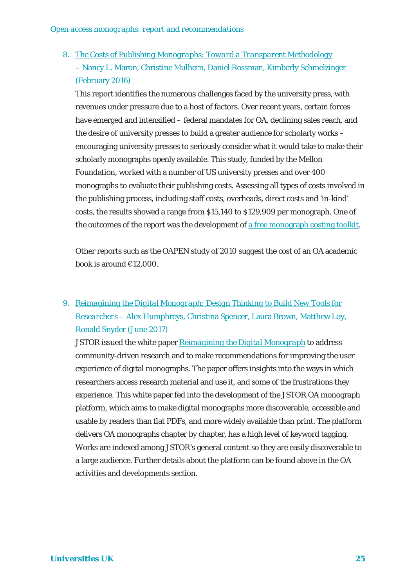# 8. *[The Costs of Publishing Monographs: Toward a Transparent Methodology](http://www.sr.ithaka.org/publications/the-costs-of-publishing-monographs/)* – Nancy L. Maron, Christine Mulhern, Daniel Rossman, Kimberly Schmelzinger (February 2016)

This report identifies the numerous challenges faced by the university press, with revenues under pressure due to a host of factors. Over recent years, certain forces have emerged and intensified – federal mandates for OA, declining sales reach, and the desire of university presses to build a greater audience for scholarly works – encouraging university presses to seriously consider what it would take to make their scholarly monographs openly available. This study, funded by the Mellon Foundation, worked with a number of US university presses and over 400 monographs to evaluate their publishing costs. Assessing all types of costs involved in the publishing process, including staff costs, overheads, direct costs and 'in-kind' costs, the results showed a range from \$15,140 to \$129,909 per monograph. One of the outcomes of the report was the development of [a free monograph costing toolkit.](http://www.aaupnet.org/resources/for-members/handbooks-and-toolkits/digital-monograph-costing-tool)

Other reports such as the OAPEN study of 2010 suggest the cost of an OA academic book is around €12,000.

# 9. *Reimagining the Digital [Monograph: Design Thinking to Build New Tools for](https://about.jstor.org/news/reimagining-digital-monograph-white-paper-released/)  [Researchers](https://about.jstor.org/news/reimagining-digital-monograph-white-paper-released/)* – Alex Humphreys, Christina Spencer, Laura Brown, Matthew Loy, Ronald Snyder (June 2017)

JSTOR issued the white paper *[Reimagining the Digital Monograph](http://labs.jstor.org/monograph)* to address community-driven research and to make recommendations for improving the user experience of digital monographs. The paper offers insights into the ways in which researchers access research material and use it, and some of the frustrations they experience. This white paper fed into the development of the JSTOR OA monograph platform, which aims to make digital monographs more discoverable, accessible and usable by readers than flat PDFs, and more widely available than print. The platform delivers OA monographs chapter by chapter, has a high level of keyword tagging. Works are indexed among JSTOR's general content so they are easily discoverable to a large audience. Further details about the platform can be found above in the OA activities and developments section.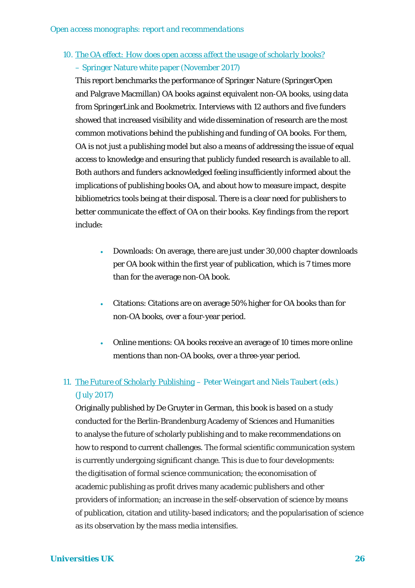# 10. *[The OA effect: How does open access affect the usage of scholarly books?](http://resource-cms.springer.com/springer-cms/rest/v1/content/15176744/data/v2)* – Springer Nature white paper (November 2017)

This report benchmarks the performance of Springer Nature (SpringerOpen and Palgrave Macmillan) OA books against equivalent non-OA books, using data from SpringerLink and Bookmetrix. Interviews with 12 authors and five funders showed that increased visibility and wide dissemination of research are the most common motivations behind the publishing and funding of OA books. For them, OA is not just a publishing model but also a means of addressing the issue of equal access to knowledge and ensuring that publicly funded research is available to all. Both authors and funders acknowledged feeling insufficiently informed about the implications of publishing books OA, and about how to measure impact, despite bibliometrics tools being at their disposal. There is a clear need for publishers to better communicate the effect of OA on their books. Key findings from the report include:

- Downloads: On average, there are just under 30,000 chapter downloads per OA book within the first year of publication, which is 7 times more than for the average non-OA book.
- Citations: Citations are on average 50% higher for OA books than for non-OA books, over a four-year period.
- Online mentions: OA books receive an average of 10 times more online mentions than non-OA books, over a three-year period.

# 11. *[The Future of Scholarly Publishing](http://www.africanminds.co.za/dd-product/the-future-of-scholarly-publishing-open-access-and-the-economics-of-digitalization/)* – Peter Weingart and Niels Taubert (eds.) (July 2017)

Originally published by De Gruyter in German, this book is based on a study conducted for the Berlin-Brandenburg Academy of Sciences and Humanities to analyse the future of scholarly publishing and to make recommendations on how to respond to current challenges. The formal scientific communication system is currently undergoing significant change. This is due to four developments: the digitisation of formal science communication; the economisation of academic publishing as profit drives many academic publishers and other providers of information; an increase in the self-observation of science by means of publication, citation and utility-based indicators; and the popularisation of science as its observation by the mass media intensifies.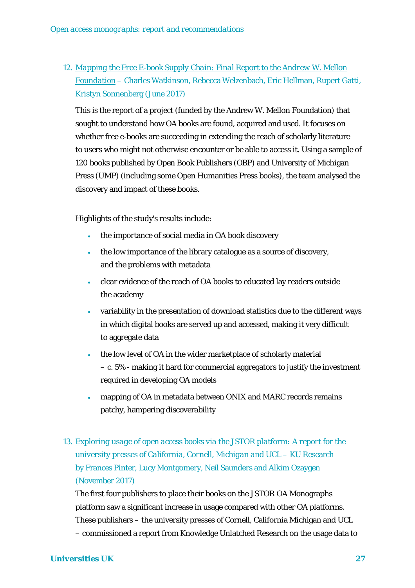12. *[Mapping the Free E-book Supply Chain: Final Report to the Andrew W. Mellon](https://deepblue.lib.umich.edu/handle/2027.42/137638)  [Foundation](https://deepblue.lib.umich.edu/handle/2027.42/137638)* – Charles Watkinson, Rebecca Welzenbach, Eric Hellman, Rupert Gatti, Kristyn Sonnenberg (June 2017)

This is the report of a project (funded by the Andrew W. Mellon Foundation) that sought to understand how OA books are found, acquired and used. It focuses on whether free e-books are succeeding in extending the reach of scholarly literature to users who might not otherwise encounter or be able to access it. Using a sample of 120 books published by Open Book Publishers (OBP) and University of Michigan Press (UMP) (including some Open Humanities Press books), the team analysed the discovery and impact of these books.

Highlights of the study's results include:

- the importance of social media in OA book discovery
- the low importance of the library catalogue as a source of discovery, and the problems with metadata
- clear evidence of the reach of OA books to educated lay readers outside the academy
- variability in the presentation of download statistics due to the different ways in which digital books are served up and accessed, making it very difficult to aggregate data
- the low level of OA in the wider marketplace of scholarly material – c. 5% - making it hard for commercial aggregators to justify the investment required in developing OA models
- mapping of OA in metadata between ONIX and MARC records remains patchy, hampering discoverability
- 13. *[Exploring usage of open access books via the JSTOR platform: A report for the](http://www.kuresearch.org/PDF/jstor_report.pdf)  [university presses of California, Cornell, Michigan and UCL](http://www.kuresearch.org/PDF/jstor_report.pdf)* – KU Research by Frances Pinter, Lucy Montgomery, Neil Saunders and Alkim Ozaygen (November 2017)

The first four publishers to place their books on the JSTOR OA Monographs platform saw a significant increase in usage compared with other OA platforms. These publishers – the university presses of Cornell, California Michigan and UCL – commissioned a report from Knowledge Unlatched Research on the usage data to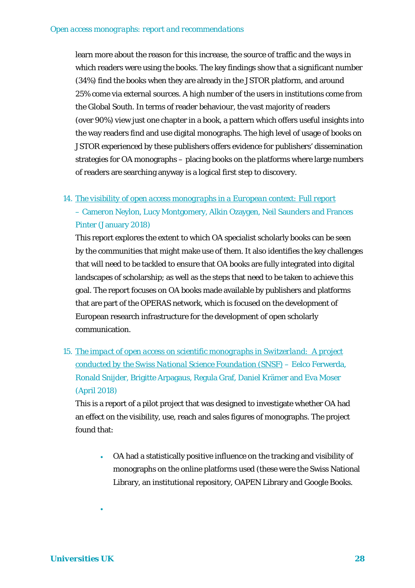learn more about the reason for this increase, the source of traffic and the ways in which readers were using the books. The key findings show that a significant number (34%) find the books when they are already in the JSTOR platform, and around 25% come via external sources. A high number of the users in institutions come from the Global South. In terms of reader behaviour, the vast majority of readers (over 90%) view just one chapter in a book, a pattern which offers useful insights into the way readers find and use digital monographs. The high level of usage of books on JSTOR experienced by these publishers offers evidence for publishers' dissemination strategies for OA monographs – placing books on the platforms where large numbers of readers are searching anyway is a logical first step to discovery.

#### 14. *[The visibility of open access monographs in a European context: Full report](https://hcommons.org/deposits/objects/hc:18270/datastreams/CONTENT/content)*

# – Cameron Neylon, Lucy Montgomery, Alkin Ozaygen, Neil Saunders and Frances Pinter (January 2018)

This report explores the extent to which OA specialist scholarly books can be seen by the communities that might make use of them. It also identifies the key challenges that will need to be tackled to ensure that OA books are fully integrated into digital landscapes of scholarship; as well as the steps that need to be taken to achieve this goal. The report focuses on OA books made available by publishers and platforms that are part of the OPERAS network, which is focused on the development of European research infrastructure for the development of open scholarly communication.

15. *[The impact of open access on scientific monographs in Switzerland: A project](http://www.snf.ch/SiteCollectionDocuments/OAPEN-CH_schlussbericht_en.pdf)  [conducted by the Swiss National Science Foundation \(SNSF\)](http://www.snf.ch/SiteCollectionDocuments/OAPEN-CH_schlussbericht_en.pdf)* – Eelco Ferwerda, Ronald Snijder, Brigitte Arpagaus, Regula Graf, Daniel Krämer and Eva Moser (April 2018)

This is a report of a pilot project that was designed to investigate whether OA had an effect on the visibility, use, reach and sales figures of monographs. The project found that:

• OA had a statistically positive influence on the tracking and visibility of monographs on the online platforms used (these were the Swiss National Library, an institutional repository, OAPEN Library and Google Books.

•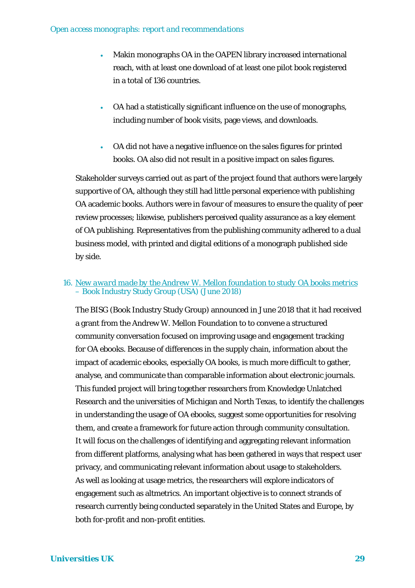- Makin monographs OA in the OAPEN library increased international reach, with at least one download of at least one pilot book registered in a total of 136 countries.
- OA had a statistically significant influence on the use of monographs, including number of book visits, page views, and downloads.
- OA did not have a negative influence on the sales figures for printed books. OA also did not result in a positive impact on sales figures.

Stakeholder surveys carried out as part of the project found that authors were largely supportive of OA, although they still had little personal experience with publishing OA academic books. Authors were in favour of measures to ensure the quality of peer review processes; likewise, publishers perceived quality assurance as a key element of OA publishing. Representatives from the publishing community adhered to a dual business model, with printed and digital editions of a monograph published side by side.

#### 16. *[New award made by the Andrew W. Mellon foundation to study OA](https://bisg.org/news/403482/Understanding-OA-Ebook-Usage-Toward-a-Common-Framework.htm) books metrics* – Book Industry Study Group (USA) (June 2018)

The BISG (Book Industry Study Group) announced in June 2018 that it had received a grant from the Andrew W. Mellon Foundation to to convene a structured community conversation focused on improving usage and engagement tracking for OA ebooks. Because of differences in the supply chain, information about the impact of academic ebooks, especially OA books, is much more difficult to gather, analyse, and communicate than comparable information about electronic journals. This funded project will bring together researchers from Knowledge Unlatched Research and the universities of Michigan and North Texas, to identify the challenges in understanding the usage of OA ebooks, suggest some opportunities for resolving them, and create a framework for future action through community consultation. It will focus on the challenges of identifying and aggregating relevant information from different platforms, analysing what has been gathered in ways that respect user privacy, and communicating relevant information about usage to stakeholders. As well as looking at usage metrics, the researchers will explore indicators of engagement such as altmetrics. An important objective is to connect strands of research currently being conducted separately in the United States and Europe, by both for-profit and non-profit entities.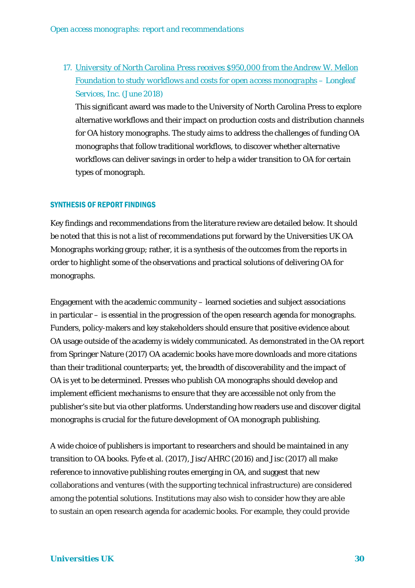17. *[University of North Carolina Press receives \\$950,000 from the Andrew W. Mellon](http://www.longleafservices.org/blog/oa-monographs/)  [Foundation to study workflows and costs for open access monographs](http://www.longleafservices.org/blog/oa-monographs/)* – Longleaf Services, Inc. (June 2018)

This significant award was made to the University of North Carolina Press to explore alternative workflows and their impact on production costs and distribution channels for OA history monographs. The study aims to address the challenges of funding OA monographs that follow traditional workflows, to discover whether alternative workflows can deliver savings in order to help a wider transition to OA for certain types of monograph.

#### SYNTHESIS OF REPORT FINDINGS

Key findings and recommendations from the literature review are detailed below. It should be noted that this is not a list of recommendations put forward by the Universities UK OA Monographs working group; rather, it is a synthesis of the outcomes from the reports in order to highlight some of the observations and practical solutions of delivering OA for monographs.

Engagement with the academic community – learned societies and subject associations in particular – is essential in the progression of the open research agenda for monographs. Funders, policy-makers and key stakeholders should ensure that positive evidence about OA usage outside of the academy is widely communicated. As demonstrated in the OA report from Springer Nature (2017) OA academic books have more downloads and more citations than their traditional counterparts; yet, the breadth of discoverability and the impact of OA is yet to be determined. Presses who publish OA monographs should develop and implement efficient mechanisms to ensure that they are accessible not only from the publisher's site but via other platforms. Understanding how readers use and discover digital monographs is crucial for the future development of OA monograph publishing.

A wide choice of publishers is important to researchers and should be maintained in any transition to OA books. Fyfe et al. (2017), Jisc/AHRC (2016) and Jisc (2017) all make reference to innovative publishing routes emerging in OA, and suggest that new collaborations and ventures (with the supporting technical infrastructure) are considered among the potential solutions. Institutions may also wish to consider how they are able to sustain an open research agenda for academic books. For example, they could provide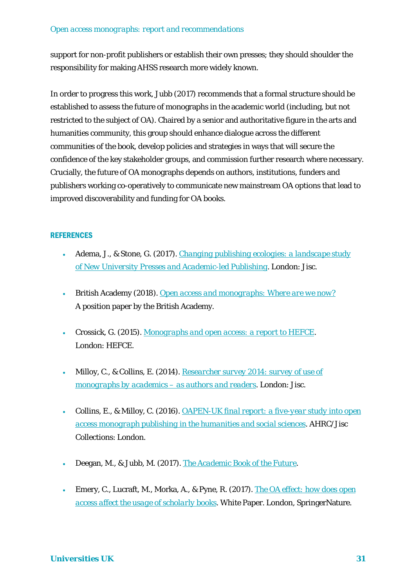support for non-profit publishers or establish their own presses; they should shoulder the responsibility for making AHSS research more widely known.

In order to progress this work, Jubb (2017) recommends that a formal structure should be established to assess the future of monographs in the academic world (including, but not restricted to the subject of OA). Chaired by a senior and authoritative figure in the arts and humanities community, this group should enhance dialogue across the different communities of the book, develop policies and strategies in ways that will secure the confidence of the key stakeholder groups, and commission further research where necessary. Crucially, the future of OA monographs depends on authors, institutions, funders and publishers working co-operatively to communicate new mainstream OA options that lead to improved discoverability and funding for OA books.

#### **REFERENCES**

- Adema, J., & Stone, G. (2017). *[Changing publishing ecologies: a landscape study](http://repository.jisc.ac.uk/6666/1/Changing-publishing-ecologies-report.pdf)  [of New University Presses and Academic-led Publishing](http://repository.jisc.ac.uk/6666/1/Changing-publishing-ecologies-report.pdf)*. London: Jisc.
- British Academy (2018). *[Open access and monographs: Where are we now?](https://www.britac.ac.uk/publications/open-access-monographs-where-are-we-now)* A position paper by the British Academy.
- Crossick, G. (2015). *[Monographs and open access: a report to HEFCE](http://www.hefce.ac.uk/pubs/rereports/year/2015/monographs/)*. London: HEFCE.
- Milloy, C., & Collins, E. (2014). *[Researcher survey 2014: survey of use of](http://oapen-uk.jiscebooks.org/files/2012/02/OAPEN-UK-researcher-survey-final.pdf)  [monographs by academics –](http://oapen-uk.jiscebooks.org/files/2012/02/OAPEN-UK-researcher-survey-final.pdf) as authors and readers*. London: Jisc.
- Collins, E., & Milloy, C. (2016). *[OAPEN-UK final report: a five-year study into open](http://oapen-uk.jiscebooks.org/files/2016/01/OAPEN-UK-final-report.pdf)  [access monograph publishing in the humanities and social sciences](http://oapen-uk.jiscebooks.org/files/2016/01/OAPEN-UK-final-report.pdf)*. AHRC/Jisc Collections: London.
- Deegan, M., & Jubb, M. (2017). *[The Academic Book of the Future](https://academicbookfuture.org/end-of-project-reports-2/)*.
- Emery, C., Lucraft, M., Morka, A., & Pyne, R. (2017). *[The OA effect: how does open](https://resource-cms.springer.com/springer-cms/rest/v1/content/15176744/data/v3)  [access affect the usage of scholarly books](https://resource-cms.springer.com/springer-cms/rest/v1/content/15176744/data/v3)*. White Paper. London, SpringerNature.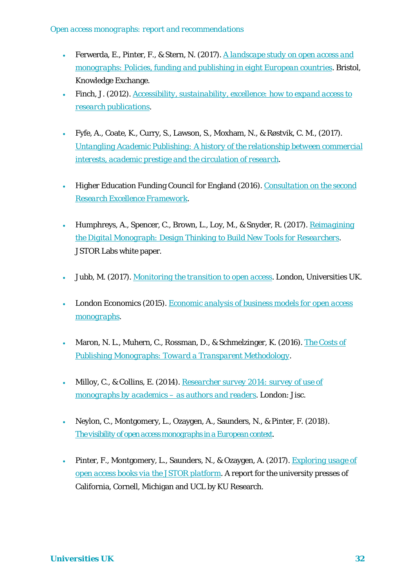- Ferwerda, E., Pinter, F., & Stern, N. (2017). *[A landscape study on open access and](http://doi.org/10.5281/zenodo.815932)  monographs: [Policies, funding and publishing in eight European countries](http://doi.org/10.5281/zenodo.815932)*. Bristol, Knowledge Exchange.
- Finch, J. (2012). *[Accessibility, sustainability, excellence: how to expand access to](https://www.acu.ac.uk/research-information-network/finch-report-final)  [research publications](https://www.acu.ac.uk/research-information-network/finch-report-final)*.
- Fyfe, A., Coate, K., Curry, S., Lawson, S., Moxham, N., & Røstvik, C. M., (2017). *[Untangling Academic Publishing: A history of the relationship between commercial](https://zenodo.org/record/546100#.WdJvzTbwGf4)  [interests, academic prestige and the circulation of research](https://zenodo.org/record/546100#.WdJvzTbwGf4)*.
- Higher Education Funding Council for England (2016). *[Consultation on the second](http://www.hefce.ac.uk/pubs/year/2016/201636/)  [Research Excellence Framework](http://www.hefce.ac.uk/pubs/year/2016/201636/)*.
- Humphreys, A., Spencer, C., Brown, L., Loy, M., & Snyder, R. (2017). *[Reimagining](https://about.jstor.org/news/reimagining-digital-monograph-white-paper-released/)  [the Digital Monograph: Design Thinking to Build New Tools for Researchers](https://about.jstor.org/news/reimagining-digital-monograph-white-paper-released/)*. JSTOR Labs white paper.
- Jubb, M. (2017). *[Monitoring the transition to open access](http://www.universitiesuk.ac.uk/policy-and-analysis/reports/Documents/2017/monitoring-transition-open-access-2017.pdf)*. London, Universities UK.
- London Economics (2015). *[Economic analysis of business models for open access](http://www.hefce.ac.uk/media/hefce/content/pubs/indirreports/2015/Monographs,and,open,access/2014_monographs4.pdf)  [monographs](http://www.hefce.ac.uk/media/hefce/content/pubs/indirreports/2015/Monographs,and,open,access/2014_monographs4.pdf)*.
- Maron, N. L., Muhern, C., Rossman, D., & Schmelzinger, K. (2016). *[The Costs of](http://www.sr.ithaka.org/publications/the-costs-of-publishing-monographs/)  [Publishing Monographs: Toward a Transparent Methodology](http://www.sr.ithaka.org/publications/the-costs-of-publishing-monographs/)*.
- Milloy, C., & Collins, E. (2014). *[Researcher survey 2014: survey of use of](http://oapen-uk.jiscebooks.org/files/2012/02/OAPEN-UK-researcher-survey-final.pdf)  [monographs by academics –](http://oapen-uk.jiscebooks.org/files/2012/02/OAPEN-UK-researcher-survey-final.pdf) as authors and readers*. London: Jisc.
- Neylon, C., Montgomery, L., Ozaygen, A., Saunders, N., & Pinter, F. (2018). *[The visibility of open access monographs in a European context](https://hcommons.org/deposits/objects/hc:18270/datastreams/CONTENT/content)*.
- Pinter, F., Montgomery, L., Saunders, N., & Ozaygen, A. (2017). *[Exploring usage of](http://www.kuresearch.org/PDF/jstor_report.pdf)  [open access books via the JSTOR platform](http://www.kuresearch.org/PDF/jstor_report.pdf)*. A report for the university presses of California, Cornell, Michigan and UCL by KU Research.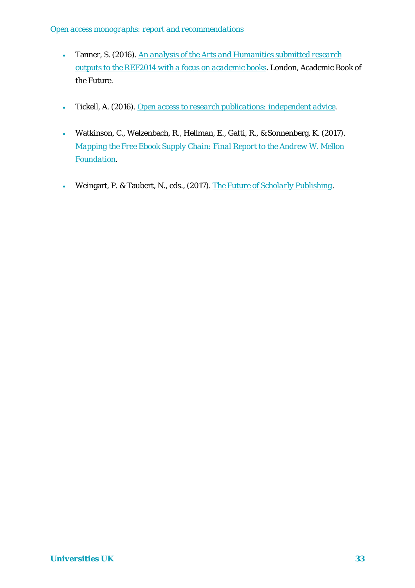- Tanner, S. (2016). *[An analysis of the Arts and Humanities submitted research](https://academicbookfuture.files.wordpress.com/2016/11/abof_academic-books-ref2014-report_simon-tanner.pdf)  [outputs to the REF2014 with a focus on academic books](https://academicbookfuture.files.wordpress.com/2016/11/abof_academic-books-ref2014-report_simon-tanner.pdf)*. London, Academic Book of the Future.
- Tickell, A. (2016). *[Open access to research publications: independent advice](https://www.gov.uk/government/uploads/system/uploads/attachment_data/file/499455/ind-16-3-open-access-report.pdf)*.
- Watkinson, C., Welzenbach, R., Hellman, E., Gatti, R., & Sonnenberg, K. (2017). *[Mapping the Free Ebook Supply Chain: Final Report to the Andrew W. Mellon](https://deepblue.lib.umich.edu/handle/2027.42/137638)  [Foundation](https://deepblue.lib.umich.edu/handle/2027.42/137638)*.
- Weingart, P. & Taubert, N., eds., (2017). *[The Future of Scholarly Publishing](http://www.africanminds.co.za/dd-product/the-future-of-scholarly-publishing-open-access-and-the-economics-of-digitalization/)*.